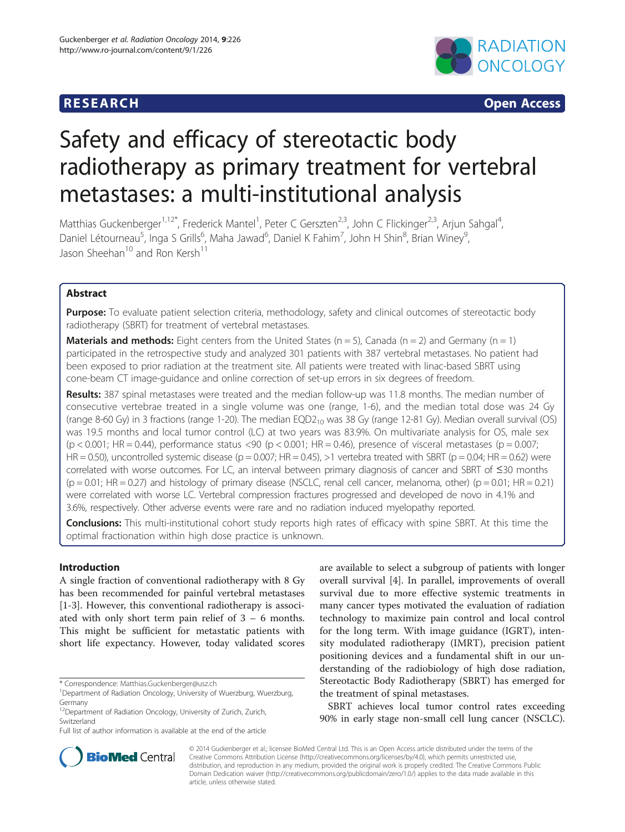## **RESEARCH RESEARCH CONSUMING ACCESS**



# Safety and efficacy of stereotactic body radiotherapy as primary treatment for vertebral metastases: a multi-institutional analysis

Matthias Guckenberger<sup>1,12\*</sup>, Frederick Mantel<sup>1</sup>, Peter C Gerszten<sup>2,3</sup>, John C Flickinger<sup>2,3</sup>, Arjun Sahgal<sup>4</sup> , Daniel Létourneau<sup>5</sup>, Inga S Grills<sup>6</sup>, Maha Jawad<sup>6</sup>, Daniel K Fahim<sup>7</sup>, John H Shin<sup>8</sup>, Brian Winey<sup>9</sup> , Jason Sheehan<sup>10</sup> and Ron Kersh<sup>11</sup>

## Abstract

Purpose: To evaluate patient selection criteria, methodology, safety and clinical outcomes of stereotactic body radiotherapy (SBRT) for treatment of vertebral metastases.

**Materials and methods:** Eight centers from the United States ( $n = 5$ ), Canada ( $n = 2$ ) and Germany ( $n = 1$ ) participated in the retrospective study and analyzed 301 patients with 387 vertebral metastases. No patient had been exposed to prior radiation at the treatment site. All patients were treated with linac-based SBRT using cone-beam CT image-guidance and online correction of set-up errors in six degrees of freedom.

Results: 387 spinal metastases were treated and the median follow-up was 11.8 months. The median number of consecutive vertebrae treated in a single volume was one (range, 1-6), and the median total dose was 24 Gy (range 8-60 Gy) in 3 fractions (range 1-20). The median  $EQD2_{10}$  was 38 Gy (range 12-81 Gy). Median overall survival (OS) was 19.5 months and local tumor control (LC) at two years was 83.9%. On multivariate analysis for OS, male sex  $(p < 0.001$ ; HR = 0.44), performance status <90 (p < 0.001; HR = 0.46), presence of visceral metastases (p = 0.007; HR = 0.50), uncontrolled systemic disease ( $p = 0.007$ ; HR = 0.45), >1 vertebra treated with SBRT ( $p = 0.04$ ; HR = 0.62) were correlated with worse outcomes. For LC, an interval between primary diagnosis of cancer and SBRT of ≤30 months  $(p = 0.01; HR = 0.27)$  and histology of primary disease (NSCLC, renal cell cancer, melanoma, other)  $(p = 0.01; HR = 0.21)$ were correlated with worse LC. Vertebral compression fractures progressed and developed de novo in 4.1% and 3.6%, respectively. Other adverse events were rare and no radiation induced myelopathy reported.

Conclusions: This multi-institutional cohort study reports high rates of efficacy with spine SBRT. At this time the optimal fractionation within high dose practice is unknown.

## Introduction

A single fraction of conventional radiotherapy with 8 Gy has been recommended for painful vertebral metastases [[1-3](#page-6-0)]. However, this conventional radiotherapy is associated with only short term pain relief of 3 – 6 months. This might be sufficient for metastatic patients with short life expectancy. However, today validated scores

are available to select a subgroup of patients with longer overall survival [\[4](#page-6-0)]. In parallel, improvements of overall survival due to more effective systemic treatments in many cancer types motivated the evaluation of radiation technology to maximize pain control and local control for the long term. With image guidance (IGRT), intensity modulated radiotherapy (IMRT), precision patient positioning devices and a fundamental shift in our understanding of the radiobiology of high dose radiation, Stereotactic Body Radiotherapy (SBRT) has emerged for the treatment of spinal metastases.

SBRT achieves local tumor control rates exceeding 90% in early stage non-small cell lung cancer (NSCLC).



© 2014 Guckenberger et al.; licensee BioMed Central Ltd. This is an Open Access article distributed under the terms of the Creative Commons Attribution License (<http://creativecommons.org/licenses/by/4.0>), which permits unrestricted use, distribution, and reproduction in any medium, provided the original work is properly credited. The Creative Commons Public Domain Dedication waiver [\(http://creativecommons.org/publicdomain/zero/1.0/\)](http://creativecommons.org/publicdomain/zero/1.0/) applies to the data made available in this article, unless otherwise stated.

<sup>\*</sup> Correspondence: [Matthias.Guckenberger@usz.ch](mailto:Matthias.Guckenberger@usz.ch) <sup>1</sup>

<sup>&</sup>lt;sup>1</sup>Department of Radiation Oncology, University of Wuerzburg, Wuerzburg, Germany

<sup>&</sup>lt;sup>12</sup>Department of Radiation Oncology, University of Zurich, Zurich, Switzerland

Full list of author information is available at the end of the article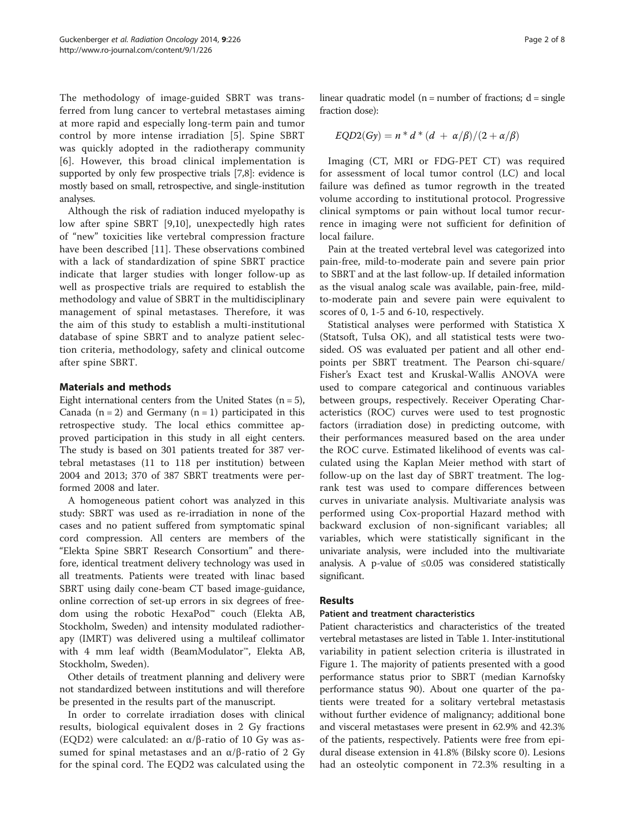The methodology of image-guided SBRT was transferred from lung cancer to vertebral metastases aiming at more rapid and especially long-term pain and tumor control by more intense irradiation [[5\]](#page-6-0). Spine SBRT was quickly adopted in the radiotherapy community [[6](#page-6-0)]. However, this broad clinical implementation is supported by only few prospective trials [\[7,8\]](#page-7-0): evidence is mostly based on small, retrospective, and single-institution analyses.

Although the risk of radiation induced myelopathy is low after spine SBRT [\[9](#page-7-0),[10\]](#page-7-0), unexpectedly high rates of "new" toxicities like vertebral compression fracture have been described [\[11](#page-7-0)]. These observations combined with a lack of standardization of spine SBRT practice indicate that larger studies with longer follow-up as well as prospective trials are required to establish the methodology and value of SBRT in the multidisciplinary management of spinal metastases. Therefore, it was the aim of this study to establish a multi-institutional database of spine SBRT and to analyze patient selection criteria, methodology, safety and clinical outcome after spine SBRT.

## Materials and methods

Eight international centers from the United States  $(n = 5)$ , Canada  $(n = 2)$  and Germany  $(n = 1)$  participated in this retrospective study. The local ethics committee approved participation in this study in all eight centers. The study is based on 301 patients treated for 387 vertebral metastases (11 to 118 per institution) between 2004 and 2013; 370 of 387 SBRT treatments were performed 2008 and later.

A homogeneous patient cohort was analyzed in this study: SBRT was used as re-irradiation in none of the cases and no patient suffered from symptomatic spinal cord compression. All centers are members of the "Elekta Spine SBRT Research Consortium" and therefore, identical treatment delivery technology was used in all treatments. Patients were treated with linac based SBRT using daily cone-beam CT based image-guidance, online correction of set-up errors in six degrees of freedom using the robotic HexaPod™ couch (Elekta AB, Stockholm, Sweden) and intensity modulated radiotherapy (IMRT) was delivered using a multileaf collimator with 4 mm leaf width (BeamModulator™, Elekta AB, Stockholm, Sweden).

Other details of treatment planning and delivery were not standardized between institutions and will therefore be presented in the results part of the manuscript.

In order to correlate irradiation doses with clinical results, biological equivalent doses in 2 Gy fractions (EQD2) were calculated: an α/β-ratio of 10 Gy was assumed for spinal metastases and an  $\alpha/\beta$ -ratio of 2 Gy for the spinal cord. The EQD2 was calculated using the linear quadratic model ( $n =$  number of fractions;  $d =$  single fraction dose):

$$
EQD2(Gy) = n * d * (d + \alpha/\beta)/(2 + \alpha/\beta)
$$

Imaging (CT, MRI or FDG-PET CT) was required for assessment of local tumor control (LC) and local failure was defined as tumor regrowth in the treated volume according to institutional protocol. Progressive clinical symptoms or pain without local tumor recurrence in imaging were not sufficient for definition of local failure.

Pain at the treated vertebral level was categorized into pain-free, mild-to-moderate pain and severe pain prior to SBRT and at the last follow-up. If detailed information as the visual analog scale was available, pain-free, mildto-moderate pain and severe pain were equivalent to scores of 0, 1-5 and 6-10, respectively.

Statistical analyses were performed with Statistica X (Statsoft, Tulsa OK), and all statistical tests were twosided. OS was evaluated per patient and all other endpoints per SBRT treatment. The Pearson chi-square/ Fisher's Exact test and Kruskal-Wallis ANOVA were used to compare categorical and continuous variables between groups, respectively. Receiver Operating Characteristics (ROC) curves were used to test prognostic factors (irradiation dose) in predicting outcome, with their performances measured based on the area under the ROC curve. Estimated likelihood of events was calculated using the Kaplan Meier method with start of follow-up on the last day of SBRT treatment. The logrank test was used to compare differences between curves in univariate analysis. Multivariate analysis was performed using Cox-proportial Hazard method with backward exclusion of non-significant variables; all variables, which were statistically significant in the univariate analysis, were included into the multivariate analysis. A p-value of  $\leq 0.05$  was considered statistically significant.

## Results

## Patient and treatment characteristics

Patient characteristics and characteristics of the treated vertebral metastases are listed in Table [1](#page-2-0). Inter-institutional variability in patient selection criteria is illustrated in Figure [1.](#page-3-0) The majority of patients presented with a good performance status prior to SBRT (median Karnofsky performance status 90). About one quarter of the patients were treated for a solitary vertebral metastasis without further evidence of malignancy; additional bone and visceral metastases were present in 62.9% and 42.3% of the patients, respectively. Patients were free from epidural disease extension in 41.8% (Bilsky score 0). Lesions had an osteolytic component in 72.3% resulting in a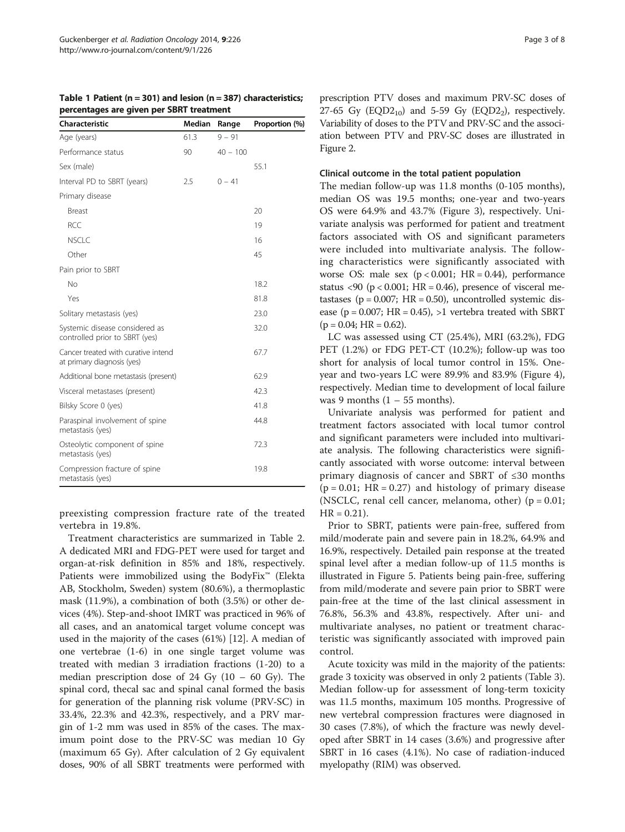<span id="page-2-0"></span>Table 1 Patient ( $n = 301$ ) and lesion ( $n = 387$ ) characteristics; percentages are given per SBRT treatment

| Characteristic                                                    | Median | Range      | Proportion (%) |
|-------------------------------------------------------------------|--------|------------|----------------|
| Age (years)                                                       | 61.3   | $9 - 91$   |                |
| Performance status                                                | 90     | $40 - 100$ |                |
| Sex (male)                                                        |        |            | 55.1           |
| Interval PD to SBRT (years)                                       | 2.5    | $0 - 41$   |                |
| Primary disease                                                   |        |            |                |
| Breast                                                            |        |            | 20             |
| <b>RCC</b>                                                        |        |            | 19             |
| <b>NSCLC</b>                                                      |        |            | 16             |
| Other                                                             |        |            | 45             |
| Pain prior to SBRT                                                |        |            |                |
| No                                                                |        |            | 18.2           |
| Yes                                                               |        |            | 81.8           |
| Solitary metastasis (yes)                                         |        |            | 23.0           |
| Systemic disease considered as<br>controlled prior to SBRT (yes)  |        |            | 32.0           |
| Cancer treated with curative intend<br>at primary diagnosis (yes) |        |            | 67.7           |
| Additional bone metastasis (present)                              |        |            | 62.9           |
| Visceral metastases (present)                                     |        |            | 42.3           |
| Bilsky Score 0 (yes)                                              |        |            | 41.8           |
| Paraspinal involvement of spine<br>metastasis (yes)               |        |            | 44.8           |
| Osteolytic component of spine<br>metastasis (yes)                 |        |            | 72.3           |
| Compression fracture of spine<br>metastasis (yes)                 |        |            | 19.8           |

preexisting compression fracture rate of the treated vertebra in 19.8%.

Treatment characteristics are summarized in Table [2](#page-3-0). A dedicated MRI and FDG-PET were used for target and organ-at-risk definition in 85% and 18%, respectively. Patients were immobilized using the BodyFix™ (Elekta AB, Stockholm, Sweden) system (80.6%), a thermoplastic mask (11.9%), a combination of both (3.5%) or other devices (4%). Step-and-shoot IMRT was practiced in 96% of all cases, and an anatomical target volume concept was used in the majority of the cases (61%) [[12](#page-7-0)]. A median of one vertebrae (1-6) in one single target volume was treated with median 3 irradiation fractions (1-20) to a median prescription dose of 24 Gy  $(10 - 60 \text{ Gy})$ . The spinal cord, thecal sac and spinal canal formed the basis for generation of the planning risk volume (PRV-SC) in 33.4%, 22.3% and 42.3%, respectively, and a PRV margin of 1-2 mm was used in 85% of the cases. The maximum point dose to the PRV-SC was median 10 Gy (maximum 65 Gy). After calculation of 2 Gy equivalent doses, 90% of all SBRT treatments were performed with prescription PTV doses and maximum PRV-SC doses of 27-65 Gy  $(EQD2_{10})$  and 5-59 Gy  $(EQD2_2)$ , respectively. Variability of doses to the PTV and PRV-SC and the association between PTV and PRV-SC doses are illustrated in Figure [2.](#page-3-0)

#### Clinical outcome in the total patient population

The median follow-up was 11.8 months (0-105 months), median OS was 19.5 months; one-year and two-years OS were 64.9% and 43.7% (Figure [3\)](#page-4-0), respectively. Univariate analysis was performed for patient and treatment factors associated with OS and significant parameters were included into multivariate analysis. The following characteristics were significantly associated with worse OS: male sex  $(p < 0.001$ ; HR = 0.44), performance status <90 ( $p$  < 0.001; HR = 0.46), presence of visceral metastases ( $p = 0.007$ ; HR = 0.50), uncontrolled systemic disease ( $p = 0.007$ ; HR = 0.45), >1 vertebra treated with SBRT  $(p = 0.04; HR = 0.62).$ 

LC was assessed using CT (25.4%), MRI (63.2%), FDG PET (1.2%) or FDG PET-CT (10.2%); follow-up was too short for analysis of local tumor control in 15%. Oneyear and two-years LC were 89.9% and 83.9% (Figure [4](#page-4-0)), respectively. Median time to development of local failure was 9 months  $(1 - 55$  months).

Univariate analysis was performed for patient and treatment factors associated with local tumor control and significant parameters were included into multivariate analysis. The following characteristics were significantly associated with worse outcome: interval between primary diagnosis of cancer and SBRT of ≤30 months  $(p = 0.01; HR = 0.27)$  and histology of primary disease (NSCLC, renal cell cancer, melanoma, other)  $(p = 0.01;$  $HR = 0.21$ ).

Prior to SBRT, patients were pain-free, suffered from mild/moderate pain and severe pain in 18.2%, 64.9% and 16.9%, respectively. Detailed pain response at the treated spinal level after a median follow-up of 11.5 months is illustrated in Figure [5](#page-5-0). Patients being pain-free, suffering from mild/moderate and severe pain prior to SBRT were pain-free at the time of the last clinical assessment in 76.8%, 56.3% and 43.8%, respectively. After uni- and multivariate analyses, no patient or treatment characteristic was significantly associated with improved pain control.

Acute toxicity was mild in the majority of the patients: grade 3 toxicity was observed in only 2 patients (Table [3](#page-5-0)). Median follow-up for assessment of long-term toxicity was 11.5 months, maximum 105 months. Progressive of new vertebral compression fractures were diagnosed in 30 cases (7.8%), of which the fracture was newly developed after SBRT in 14 cases (3.6%) and progressive after SBRT in 16 cases (4.1%). No case of radiation-induced myelopathy (RIM) was observed.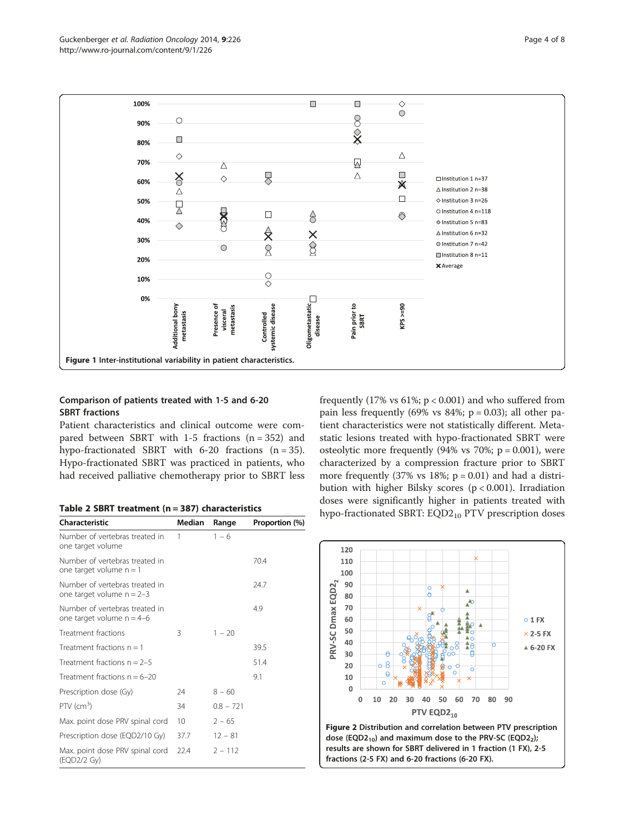<span id="page-3-0"></span>

## Comparison of patients treated with 1-5 and 6-20 SBRT fractions

Patient characteristics and clinical outcome were compared between SBRT with  $1-5$  fractions  $(n = 352)$  and hypo-fractionated SBRT with 6-20 fractions  $(n = 35)$ . Hypo-fractionated SBRT was practiced in patients, who had received palliative chemotherapy prior to SBRT less

|  |  |  | Table 2 SBRT treatment ( $n = 387$ ) characteristics |
|--|--|--|------------------------------------------------------|
|--|--|--|------------------------------------------------------|

| Characteristic                                                | Median | Range       | Proportion (%) |
|---------------------------------------------------------------|--------|-------------|----------------|
| Number of vertebras treated in<br>one target volume           | 1      | $1 - 6$     |                |
| Number of vertebras treated in<br>one target volume $n = 1$   |        |             | 70.4           |
| Number of vertebras treated in<br>one target volume $n = 2-3$ |        |             | 24.7           |
| Number of vertebras treated in<br>one target volume $n = 4-6$ |        |             | 4.9            |
| Treatment fractions                                           | 3      | $1 - 20$    |                |
| Treatment fractions $n = 1$                                   |        |             | 39.5           |
| Treatment fractions $n = 2-5$                                 |        |             | 51.4           |
| Treatment fractions $n = 6-20$                                |        |             | 9.1            |
| Prescription dose (Gy)                                        | 24     | $8 - 60$    |                |
| $PTV$ (cm <sup>3</sup> )                                      | 34     | $0.8 - 721$ |                |
| Max. point dose PRV spinal cord                               | 10     | $2 - 65$    |                |
| Prescription dose (EQD2/10 Gy)                                | 37.7   | $12 - 81$   |                |
| Max. point dose PRV spinal cord<br>(EQD2/2 Gy)                | 22.4   | $2 - 112$   |                |

frequently (17% vs  $61\%$ ;  $p < 0.001$ ) and who suffered from pain less frequently (69% vs  $84\%$ ; p = 0.03); all other patient characteristics were not statistically different. Metastatic lesions treated with hypo-fractionated SBRT were osteolytic more frequently  $(94\% \text{ vs } 70\%; \text{ p} = 0.001)$ , were characterized by a compression fracture prior to SBRT more frequently (37% vs  $18\%$ ; p = 0.01) and had a distribution with higher Bilsky scores (p < 0.001). Irradiation doses were significantly higher in patients treated with hypo-fractionated SBRT: EQD2<sub>10</sub> PTV prescription doses



results are shown for SBRT delivered in 1 fraction (1 FX), 2-5 fractions (2-5 FX) and 6-20 fractions (6-20 FX).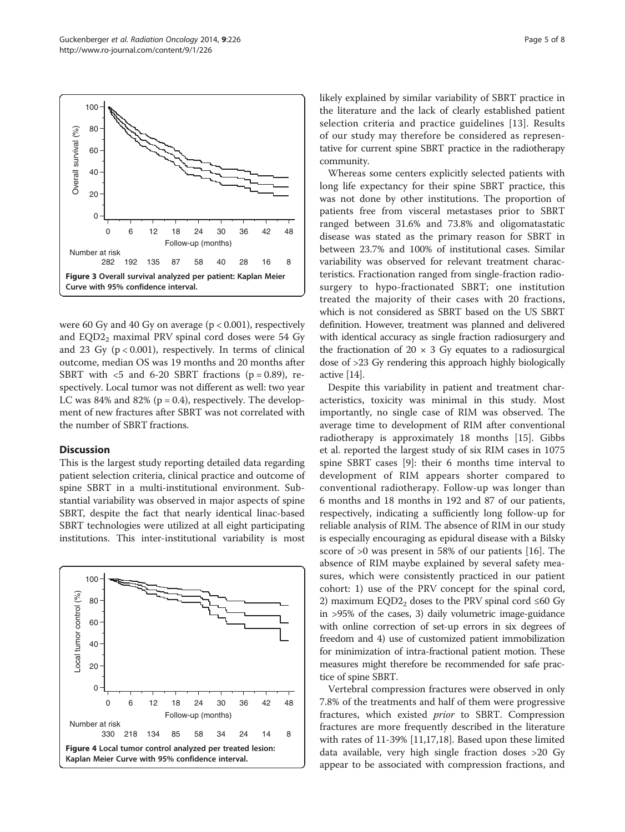<span id="page-4-0"></span>

were 60 Gy and 40 Gy on average  $(p < 0.001)$ , respectively and  $EQD2<sub>2</sub>$  maximal PRV spinal cord doses were 54 Gy and 23 Gy  $(p < 0.001)$ , respectively. In terms of clinical outcome, median OS was 19 months and 20 months after SBRT with  $\lt$ 5 and 6-20 SBRT fractions (p = 0.89), respectively. Local tumor was not different as well: two year LC was 84% and 82% ( $p = 0.4$ ), respectively. The development of new fractures after SBRT was not correlated with the number of SBRT fractions.

### **Discussion**

This is the largest study reporting detailed data regarding patient selection criteria, clinical practice and outcome of spine SBRT in a multi-institutional environment. Substantial variability was observed in major aspects of spine SBRT, despite the fact that nearly identical linac-based SBRT technologies were utilized at all eight participating institutions. This inter-institutional variability is most



likely explained by similar variability of SBRT practice in the literature and the lack of clearly established patient selection criteria and practice guidelines [\[13\]](#page-7-0). Results of our study may therefore be considered as representative for current spine SBRT practice in the radiotherapy community.

Whereas some centers explicitly selected patients with long life expectancy for their spine SBRT practice, this was not done by other institutions. The proportion of patients free from visceral metastases prior to SBRT ranged between 31.6% and 73.8% and oligomatastatic disease was stated as the primary reason for SBRT in between 23.7% and 100% of institutional cases. Similar variability was observed for relevant treatment characteristics. Fractionation ranged from single-fraction radiosurgery to hypo-fractionated SBRT; one institution treated the majority of their cases with 20 fractions, which is not considered as SBRT based on the US SBRT definition. However, treatment was planned and delivered with identical accuracy as single fraction radiosurgery and the fractionation of  $20 \times 3$  Gy equates to a radiosurgical dose of >23 Gy rendering this approach highly biologically active [\[14](#page-7-0)].

Despite this variability in patient and treatment characteristics, toxicity was minimal in this study. Most importantly, no single case of RIM was observed. The average time to development of RIM after conventional radiotherapy is approximately 18 months [[15\]](#page-7-0). Gibbs et al. reported the largest study of six RIM cases in 1075 spine SBRT cases [[9\]](#page-7-0): their 6 months time interval to development of RIM appears shorter compared to conventional radiotherapy. Follow-up was longer than 6 months and 18 months in 192 and 87 of our patients, respectively, indicating a sufficiently long follow-up for reliable analysis of RIM. The absence of RIM in our study is especially encouraging as epidural disease with a Bilsky score of >0 was present in 58% of our patients [\[16\]](#page-7-0). The absence of RIM maybe explained by several safety measures, which were consistently practiced in our patient cohort: 1) use of the PRV concept for the spinal cord, 2) maximum EQD2 $<sub>2</sub>$  doses to the PRV spinal cord ≤60 Gy</sub> in >95% of the cases, 3) daily volumetric image-guidance with online correction of set-up errors in six degrees of freedom and 4) use of customized patient immobilization for minimization of intra-fractional patient motion. These measures might therefore be recommended for safe practice of spine SBRT.

Vertebral compression fractures were observed in only 7.8% of the treatments and half of them were progressive fractures, which existed prior to SBRT. Compression fractures are more frequently described in the literature with rates of 11-39% [\[11,17,18\]](#page-7-0). Based upon these limited data available, very high single fraction doses >20 Gy appear to be associated with compression fractions, and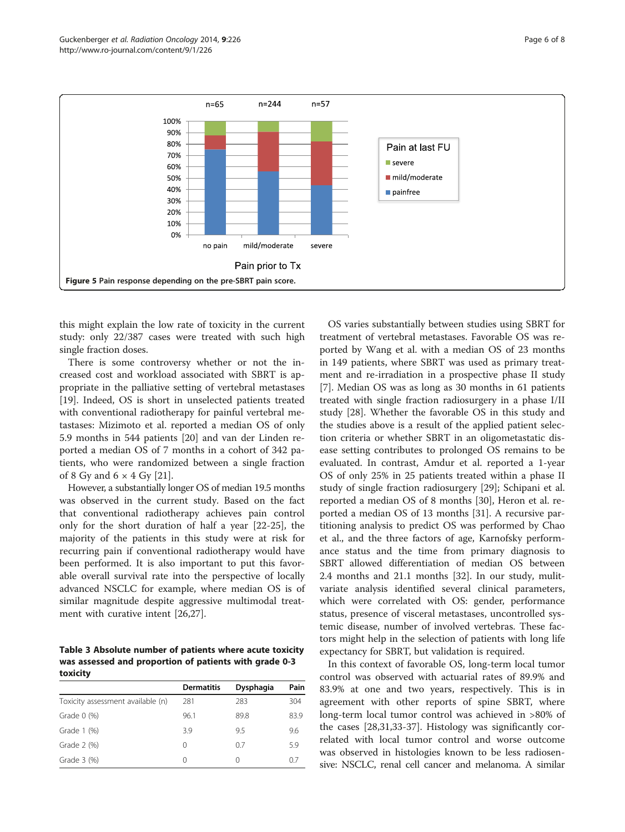<span id="page-5-0"></span>

this might explain the low rate of toxicity in the current study: only 22/387 cases were treated with such high single fraction doses.

There is some controversy whether or not the increased cost and workload associated with SBRT is appropriate in the palliative setting of vertebral metastases [[19\]](#page-7-0). Indeed, OS is short in unselected patients treated with conventional radiotherapy for painful vertebral metastases: Mizimoto et al. reported a median OS of only 5.9 months in 544 patients [\[20](#page-7-0)] and van der Linden reported a median OS of 7 months in a cohort of 342 patients, who were randomized between a single fraction of 8 Gy and  $6 \times 4$  Gy [\[21\]](#page-7-0).

However, a substantially longer OS of median 19.5 months was observed in the current study. Based on the fact that conventional radiotherapy achieves pain control only for the short duration of half a year [\[22](#page-7-0)-[25\]](#page-7-0), the majority of the patients in this study were at risk for recurring pain if conventional radiotherapy would have been performed. It is also important to put this favorable overall survival rate into the perspective of locally advanced NSCLC for example, where median OS is of similar magnitude despite aggressive multimodal treatment with curative intent [\[26,27](#page-7-0)].

Table 3 Absolute number of patients where acute toxicity was assessed and proportion of patients with grade 0-3 toxicity

|                                   | <b>Dermatitis</b> | Dysphagia | Pain |
|-----------------------------------|-------------------|-----------|------|
| Toxicity assessment available (n) | 281               | 283       | 304  |
| Grade $0$ (%)                     | 96.1              | 89.8      | 83.9 |
| Grade 1 (%)                       | 3.9               | 9.5       | 9.6  |
| Grade 2 (%)                       | 0                 | 0.7       | 5.9  |
| Grade 3 (%)                       | 0                 | 0         | 0.7  |

OS varies substantially between studies using SBRT for treatment of vertebral metastases. Favorable OS was reported by Wang et al. with a median OS of 23 months in 149 patients, where SBRT was used as primary treatment and re-irradiation in a prospective phase II study [[7\]](#page-7-0). Median OS was as long as 30 months in 61 patients treated with single fraction radiosurgery in a phase I/II study [[28\]](#page-7-0). Whether the favorable OS in this study and the studies above is a result of the applied patient selection criteria or whether SBRT in an oligometastatic disease setting contributes to prolonged OS remains to be evaluated. In contrast, Amdur et al. reported a 1-year OS of only 25% in 25 patients treated within a phase II study of single fraction radiosurgery [\[29](#page-7-0)]; Schipani et al. reported a median OS of 8 months [\[30](#page-7-0)], Heron et al. reported a median OS of 13 months [\[31](#page-7-0)]. A recursive partitioning analysis to predict OS was performed by Chao et al., and the three factors of age, Karnofsky performance status and the time from primary diagnosis to SBRT allowed differentiation of median OS between 2.4 months and 21.1 months [[32\]](#page-7-0). In our study, mulitvariate analysis identified several clinical parameters, which were correlated with OS: gender, performance status, presence of visceral metastases, uncontrolled systemic disease, number of involved vertebras. These factors might help in the selection of patients with long life expectancy for SBRT, but validation is required.

In this context of favorable OS, long-term local tumor control was observed with actuarial rates of 89.9% and 83.9% at one and two years, respectively. This is in agreement with other reports of spine SBRT, where long-term local tumor control was achieved in >80% of the cases [[28,31,33-37](#page-7-0)]. Histology was significantly correlated with local tumor control and worse outcome was observed in histologies known to be less radiosensive: NSCLC, renal cell cancer and melanoma. A similar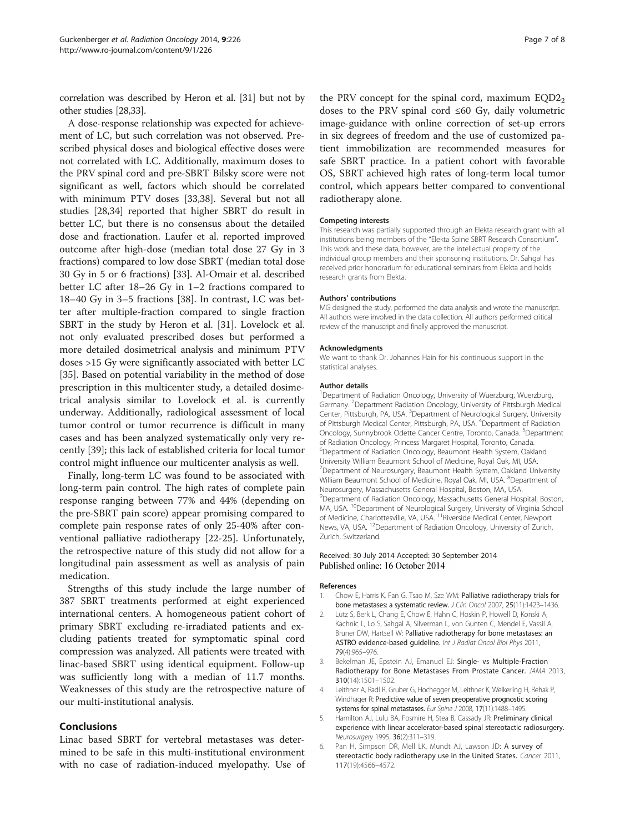<span id="page-6-0"></span>correlation was described by Heron et al. [\[31\]](#page-7-0) but not by other studies [\[28,33](#page-7-0)].

A dose-response relationship was expected for achievement of LC, but such correlation was not observed. Prescribed physical doses and biological effective doses were not correlated with LC. Additionally, maximum doses to the PRV spinal cord and pre-SBRT Bilsky score were not significant as well, factors which should be correlated with minimum PTV doses [[33](#page-7-0),[38](#page-7-0)]. Several but not all studies [[28](#page-7-0),[34](#page-7-0)] reported that higher SBRT do result in better LC, but there is no consensus about the detailed dose and fractionation. Laufer et al. reported improved outcome after high-dose (median total dose 27 Gy in 3 fractions) compared to low dose SBRT (median total dose 30 Gy in 5 or 6 fractions) [\[33\]](#page-7-0). Al-Omair et al. described better LC after 18–26 Gy in 1–2 fractions compared to 18–40 Gy in 3–5 fractions [\[38\]](#page-7-0). In contrast, LC was better after multiple-fraction compared to single fraction SBRT in the study by Heron et al. [\[31](#page-7-0)]. Lovelock et al. not only evaluated prescribed doses but performed a more detailed dosimetrical analysis and minimum PTV doses >15 Gy were significantly associated with better LC [[35\]](#page-7-0). Based on potential variability in the method of dose prescription in this multicenter study, a detailed dosimetrical analysis similar to Lovelock et al. is currently underway. Additionally, radiological assessment of local tumor control or tumor recurrence is difficult in many cases and has been analyzed systematically only very recently [[39](#page-7-0)]; this lack of established criteria for local tumor control might influence our multicenter analysis as well.

Finally, long-term LC was found to be associated with long-term pain control. The high rates of complete pain response ranging between 77% and 44% (depending on the pre-SBRT pain score) appear promising compared to complete pain response rates of only 25-40% after conventional palliative radiotherapy [\[22](#page-7-0)-[25\]](#page-7-0). Unfortunately, the retrospective nature of this study did not allow for a longitudinal pain assessment as well as analysis of pain medication.

Strengths of this study include the large number of 387 SBRT treatments performed at eight experienced international centers. A homogeneous patient cohort of primary SBRT excluding re-irradiated patients and excluding patients treated for symptomatic spinal cord compression was analyzed. All patients were treated with linac-based SBRT using identical equipment. Follow-up was sufficiently long with a median of 11.7 months. Weaknesses of this study are the retrospective nature of our multi-institutional analysis.

## Conclusions

Linac based SBRT for vertebral metastases was determined to be safe in this multi-institutional environment with no case of radiation-induced myelopathy. Use of the PRV concept for the spinal cord, maximum  $EQD2<sub>2</sub>$ doses to the PRV spinal cord ≤60 Gy, daily volumetric image-guidance with online correction of set-up errors in six degrees of freedom and the use of customized patient immobilization are recommended measures for safe SBRT practice. In a patient cohort with favorable OS, SBRT achieved high rates of long-term local tumor control, which appears better compared to conventional radiotherapy alone.

#### Competing interests

This research was partially supported through an Elekta research grant with all institutions being members of the "Elekta Spine SBRT Research Consortium". This work and these data, however, are the intellectual property of the individual group members and their sponsoring institutions. Dr. Sahgal has received prior honorarium for educational seminars from Elekta and holds research grants from Elekta.

#### Authors' contributions

MG designed the study, performed the data analysis and wrote the manuscript. All authors were involved in the data collection. All authors performed critical review of the manuscript and finally approved the manuscript.

#### Acknowledgments

We want to thank Dr. Johannes Hain for his continuous support in the statistical analyses.

#### Author details

<sup>1</sup>Department of Radiation Oncology, University of Wuerzburg, Wuerzburg, Germany. <sup>2</sup> Department Radiation Oncology, University of Pittsburgh Medical Center, Pittsburgh, PA, USA. <sup>3</sup>Department of Neurological Surgery, University of Pittsburgh Medical Center, Pittsburgh, PA, USA. <sup>4</sup>Department of Radiation Oncology, Sunnybrook Odette Cancer Centre, Toronto, Canada. <sup>5</sup>Department of Radiation Oncology, Princess Margaret Hospital, Toronto, Canada. 6 Department of Radiation Oncology, Beaumont Health System, Oakland University William Beaumont School of Medicine, Royal Oak, MI, USA. <sup>7</sup>Department of Neurosurgery, Beaumont Health System, Oakland University William Beaumont School of Medicine, Royal Oak, MI, USA. <sup>8</sup>Department of Neurosurgery, Massachusetts General Hospital, Boston, MA, USA. <sup>9</sup> Department of Radiation Oncology, Massachusetts General Hospital, Boston, MA, USA. <sup>10</sup>Department of Neurological Surgery, University of Virginia School of Medicine, Charlottesville, VA, USA. <sup>11</sup>Riverside Medical Center, Newport News, VA, USA. <sup>12</sup>Department of Radiation Oncology, University of Zurich, Zurich, Switzerland.

#### Received: 30 July 2014 Accepted: 30 September 2014 Published online: 16 October 2014

#### References

- Chow E, Harris K, Fan G, Tsao M, Sze WM: Palliative radiotherapy trials for bone metastases: a systematic review. J Clin Oncol 2007, 25(11):1423-1436.
- 2. Lutz S, Berk L, Chang E, Chow E, Hahn C, Hoskin P, Howell D, Konski A, Kachnic L, Lo S, Sahgal A, Silverman L, von Gunten C, Mendel E, Vassil A, Bruner DW, Hartsell W: Palliative radiotherapy for bone metastases: an ASTRO evidence-based guideline. Int J Radiat Oncol Biol Phys 2011, 79(4):965–976.
- 3. Bekelman JE, Epstein AJ, Emanuel EJ: Single- vs Multiple-Fraction Radiotherapy for Bone Metastases From Prostate Cancer. JAMA 2013, 310(14):1501–1502.
- Leithner A, Radl R, Gruber G, Hochegger M, Leithner K, Welkerling H, Rehak P, Windhager R: Predictive value of seven preoperative prognostic scoring systems for spinal metastases. Eur Spine J 2008, 17(11):1488-1495.
- 5. Hamilton AJ, Lulu BA, Fosmire H, Stea B, Cassady JR: Preliminary clinical experience with linear accelerator-based spinal stereotactic radiosurgery. Neurosurgery 1995, 36(2):311–319.
- 6. Pan H, Simpson DR, Mell LK, Mundt AJ, Lawson JD: A survey of stereotactic body radiotherapy use in the United States. Cancer 2011, 117(19):4566–4572.